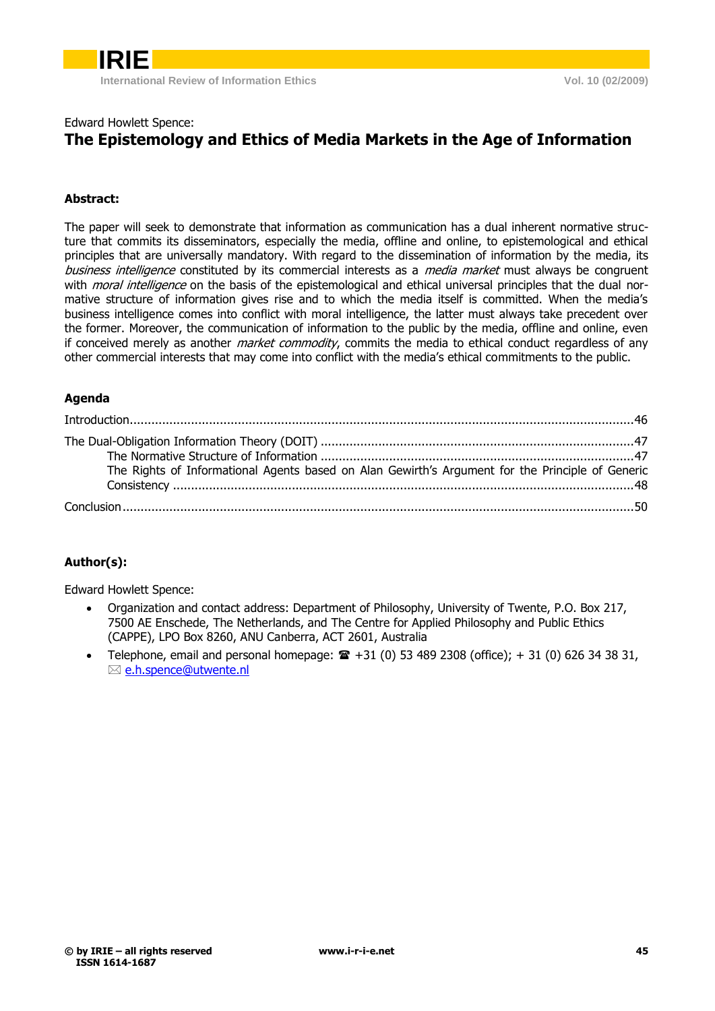

### Edward Howlett Spence: **The Epistemology and Ethics of Media Markets in the Age of Information**

### **Abstract:**

The paper will seek to demonstrate that information as communication has a dual inherent normative structure that commits its disseminators, especially the media, offline and online, to epistemological and ethical principles that are universally mandatory. With regard to the dissemination of information by the media, its business intelligence constituted by its commercial interests as a *media market* must always be congruent with *moral intelligence* on the basis of the epistemological and ethical universal principles that the dual normative structure of information gives rise and to which the media itself is committed. When the media"s business intelligence comes into conflict with moral intelligence, the latter must always take precedent over the former. Moreover, the communication of information to the public by the media, offline and online, even if conceived merely as another *market commodity*, commits the media to ethical conduct regardless of any other commercial interests that may come into conflict with the media"s ethical commitments to the public.

### **Agenda**

| The Rights of Informational Agents based on Alan Gewirth's Argument for the Principle of Generic |  |
|--------------------------------------------------------------------------------------------------|--|
|                                                                                                  |  |

### **Author(s):**

Edward Howlett Spence:

- Organization and contact address: Department of Philosophy, University of Twente, P.O. Box 217, 7500 AE Enschede, The Netherlands, and The Centre for Applied Philosophy and Public Ethics (CAPPE), LPO Box 8260, ANU Canberra, ACT 2601, Australia
- Telephone, email and personal homepage:  $\hat{=}$  +31 (0) 53 489 2308 (office); +31 (0) 626 34 38 31, [e.h.spence@utwente.nl](mailto:e.h.spence@utwente.nl)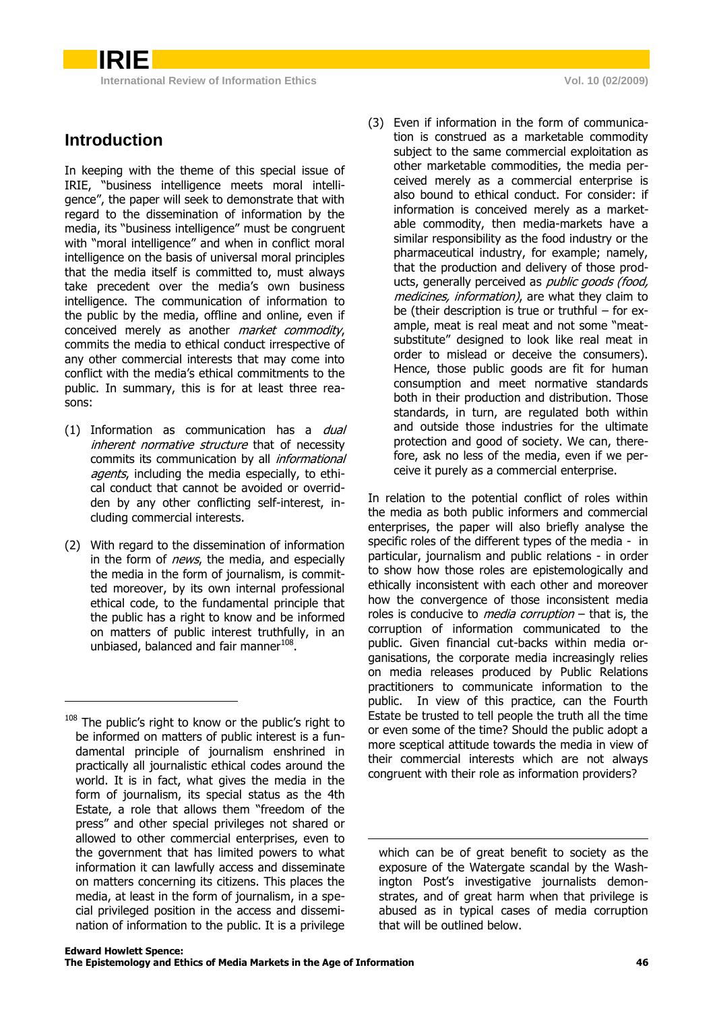### **Introduction**

-

**IRIE**

In keeping with the theme of this special issue of IRIE, "business intelligence meets moral intelligence", the paper will seek to demonstrate that with regard to the dissemination of information by the media, its "business intelligence" must be congruent with "moral intelligence" and when in conflict moral intelligence on the basis of universal moral principles that the media itself is committed to, must always take precedent over the media"s own business intelligence. The communication of information to the public by the media, offline and online, even if conceived merely as another *market commodity*, commits the media to ethical conduct irrespective of any other commercial interests that may come into conflict with the media"s ethical commitments to the public. In summary, this is for at least three reasons:

- (1) Information as communication has a *dual* inherent normative structure that of necessity commits its communication by all *informational* agents, including the media especially, to ethical conduct that cannot be avoided or overridden by any other conflicting self-interest, including commercial interests.
- (2) With regard to the dissemination of information in the form of *news*, the media, and especially the media in the form of journalism, is committed moreover, by its own internal professional ethical code, to the fundamental principle that the public has a right to know and be informed on matters of public interest truthfully, in an unbiased, balanced and fair manner<sup>108</sup>.

(3) Even if information in the form of communication is construed as a marketable commodity subject to the same commercial exploitation as other marketable commodities, the media perceived merely as a commercial enterprise is also bound to ethical conduct. For consider: if information is conceived merely as a marketable commodity, then media-markets have a similar responsibility as the food industry or the pharmaceutical industry, for example; namely, that the production and delivery of those products, generally perceived as *public goods (food,* medicines, information), are what they claim to be (their description is true or truthful – for example, meat is real meat and not some "meatsubstitute" designed to look like real meat in order to mislead or deceive the consumers). Hence, those public goods are fit for human consumption and meet normative standards both in their production and distribution. Those standards, in turn, are regulated both within and outside those industries for the ultimate protection and good of society. We can, therefore, ask no less of the media, even if we perceive it purely as a commercial enterprise.

In relation to the potential conflict of roles within the media as both public informers and commercial enterprises, the paper will also briefly analyse the specific roles of the different types of the media - in particular, journalism and public relations - in order to show how those roles are epistemologically and ethically inconsistent with each other and moreover how the convergence of those inconsistent media roles is conducive to *media corruption*  $-$  that is, the corruption of information communicated to the public. Given financial cut-backs within media organisations, the corporate media increasingly relies on media releases produced by Public Relations practitioners to communicate information to the public. In view of this practice, can the Fourth Estate be trusted to tell people the truth all the time or even some of the time? Should the public adopt a more sceptical attitude towards the media in view of their commercial interests which are not always congruent with their role as information providers?

-

<sup>&</sup>lt;sup>108</sup> The public's right to know or the public's right to be informed on matters of public interest is a fundamental principle of journalism enshrined in practically all journalistic ethical codes around the world. It is in fact, what gives the media in the form of journalism, its special status as the 4th Estate, a role that allows them "freedom of the press" and other special privileges not shared or allowed to other commercial enterprises, even to the government that has limited powers to what information it can lawfully access and disseminate on matters concerning its citizens. This places the media, at least in the form of journalism, in a special privileged position in the access and dissemination of information to the public. It is a privilege

which can be of great benefit to society as the exposure of the Watergate scandal by the Washington Post"s investigative journalists demonstrates, and of great harm when that privilege is abused as in typical cases of media corruption that will be outlined below.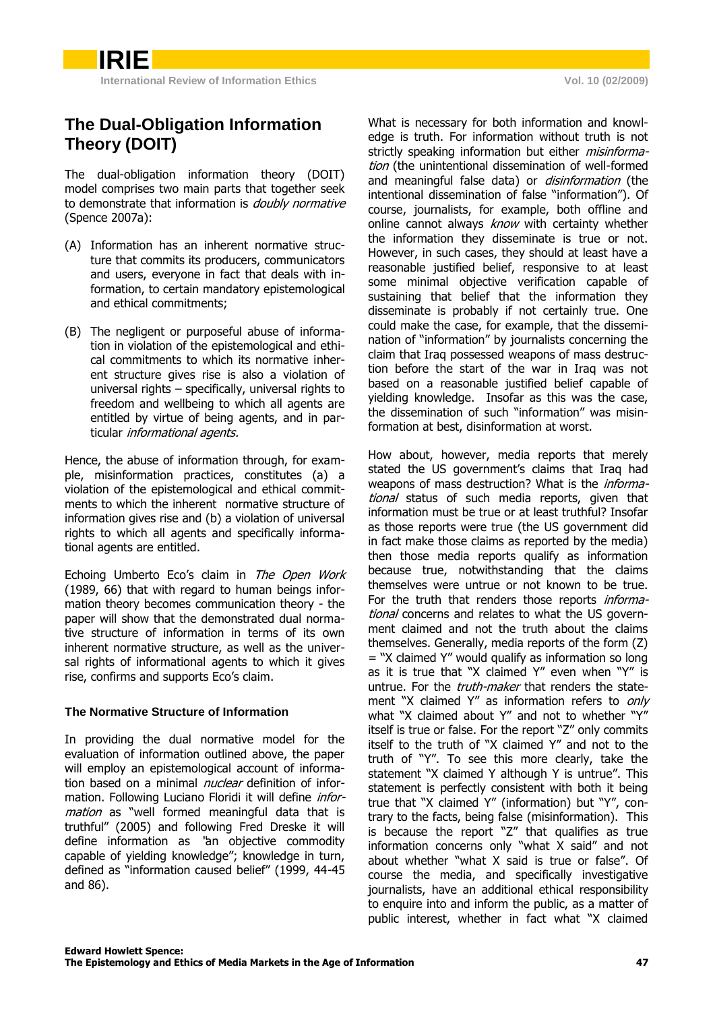## **The Dual-Obligation Information Theory (DOIT)**

**IRIE**

The dual-obligation information theory (DOIT) model comprises two main parts that together seek to demonstrate that information is *doubly normative* (Spence 2007a):

- (A) Information has an inherent normative structure that commits its producers, communicators and users, everyone in fact that deals with information, to certain mandatory epistemological and ethical commitments;
- (B) The negligent or purposeful abuse of information in violation of the epistemological and ethical commitments to which its normative inherent structure gives rise is also a violation of universal rights – specifically, universal rights to freedom and wellbeing to which all agents are entitled by virtue of being agents, and in particular *informational agents*.

Hence, the abuse of information through, for example, misinformation practices, constitutes (a) a violation of the epistemological and ethical commitments to which the inherent normative structure of information gives rise and (b) a violation of universal rights to which all agents and specifically informational agents are entitled.

Echoing Umberto Eco's claim in The Open Work (1989, 66) that with regard to human beings information theory becomes communication theory - the paper will show that the demonstrated dual normative structure of information in terms of its own inherent normative structure, as well as the universal rights of informational agents to which it gives rise, confirms and supports Eco's claim.

### **The Normative Structure of Information**

In providing the dual normative model for the evaluation of information outlined above, the paper will employ an epistemological account of information based on a minimal *nuclear* definition of information. Following Luciano Floridi it will define *infor*mation as "well formed meaningful data that is truthful" (2005) and following Fred Dreske it will define information as "an objective commodity capable of yielding knowledge"; knowledge in turn, defined as "information caused belief" (1999, 44-45 and 86).

What is necessary for both information and knowledge is truth. For information without truth is not strictly speaking information but either *misinforma*tion (the unintentional dissemination of well-formed and meaningful false data) or *disinformation* (the intentional dissemination of false "information"). Of course, journalists, for example, both offline and online cannot always know with certainty whether the information they disseminate is true or not. However, in such cases, they should at least have a reasonable justified belief, responsive to at least some minimal objective verification capable of sustaining that belief that the information they disseminate is probably if not certainly true. One could make the case, for example, that the dissemination of "information" by journalists concerning the claim that Iraq possessed weapons of mass destruction before the start of the war in Iraq was not based on a reasonable justified belief capable of yielding knowledge. Insofar as this was the case, the dissemination of such "information" was misinformation at best, disinformation at worst.

How about, however, media reports that merely stated the US government's claims that Iraq had weapons of mass destruction? What is the *informa*tional status of such media reports, given that information must be true or at least truthful? Insofar as those reports were true (the US government did in fact make those claims as reported by the media) then those media reports qualify as information because true, notwithstanding that the claims themselves were untrue or not known to be true. For the truth that renders those reports *informa*tional concerns and relates to what the US government claimed and not the truth about the claims themselves. Generally, media reports of the form (Z) = "X claimed Y" would qualify as information so long as it is true that "X claimed Y" even when "Y" is untrue. For the *truth-maker* that renders the statement "X claimed Y" as information refers to only what "X claimed about Y" and not to whether "Y" itself is true or false. For the report "Z" only commits itself to the truth of "X claimed Y" and not to the truth of "Y". To see this more clearly, take the statement "X claimed Y although Y is untrue". This statement is perfectly consistent with both it being true that "X claimed Y" (information) but "Y", contrary to the facts, being false (misinformation). This is because the report "Z" that qualifies as true information concerns only "what X said" and not about whether "what X said is true or false". Of course the media, and specifically investigative journalists, have an additional ethical responsibility to enquire into and inform the public, as a matter of public interest, whether in fact what "X claimed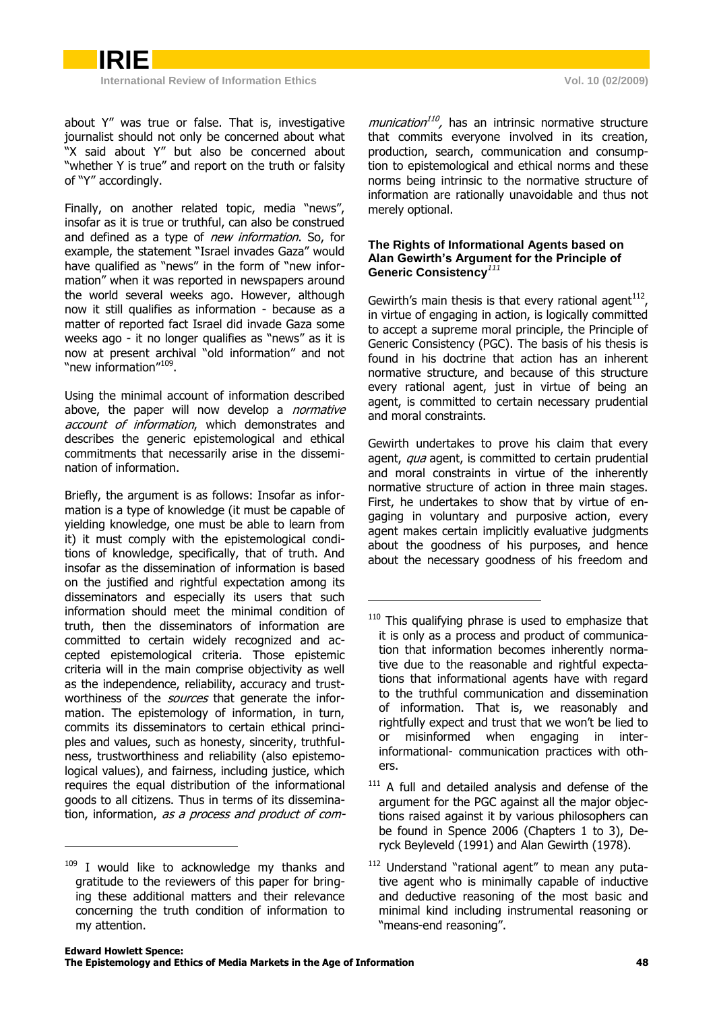

about Y" was true or false. That is, investigative journalist should not only be concerned about what "X said about Y" but also be concerned about "whether Y is true" and report on the truth or falsity of "Y" accordingly.

Finally, on another related topic, media "news", insofar as it is true or truthful, can also be construed and defined as a type of *new information*. So, for example, the statement "Israel invades Gaza" would have qualified as "news" in the form of "new information" when it was reported in newspapers around the world several weeks ago. However, although now it still qualifies as information - because as a matter of reported fact Israel did invade Gaza some weeks ago - it no longer qualifies as "news" as it is now at present archival "old information" and not "new information"<sup>109</sup>.

Using the minimal account of information described above, the paper will now develop a *normative* account of information, which demonstrates and describes the generic epistemological and ethical commitments that necessarily arise in the dissemination of information.

Briefly, the argument is as follows: Insofar as information is a type of knowledge (it must be capable of yielding knowledge, one must be able to learn from it) it must comply with the epistemological conditions of knowledge, specifically, that of truth. And insofar as the dissemination of information is based on the justified and rightful expectation among its disseminators and especially its users that such information should meet the minimal condition of truth, then the disseminators of information are committed to certain widely recognized and accepted epistemological criteria. Those epistemic criteria will in the main comprise objectivity as well as the independence, reliability, accuracy and trustworthiness of the *sources* that generate the information. The epistemology of information, in turn, commits its disseminators to certain ethical principles and values, such as honesty, sincerity, truthfulness, trustworthiness and reliability (also epistemological values), and fairness, including justice, which requires the equal distribution of the informational goods to all citizens. Thus in terms of its dissemination, information, as a process and product of com-

-

munication<sup>110</sup>, has an intrinsic normative structure that commits everyone involved in its creation, production, search, communication and consumption to epistemological and ethical norms and these norms being intrinsic to the normative structure of information are rationally unavoidable and thus not merely optional.

#### **The Rights of Informational Agents based on Alan Gewirth's Argument for the Principle of Generic Consistency***<sup>111</sup>*

Gewirth's main thesis is that every rational agent $^{112}$ , in virtue of engaging in action, is logically committed to accept a supreme moral principle, the Principle of Generic Consistency (PGC). The basis of his thesis is found in his doctrine that action has an inherent normative structure, and because of this structure every rational agent, just in virtue of being an agent, is committed to certain necessary prudential and moral constraints.

Gewirth undertakes to prove his claim that every agent, *qua* agent, is committed to certain prudential and moral constraints in virtue of the inherently normative structure of action in three main stages. First, he undertakes to show that by virtue of engaging in voluntary and purposive action, every agent makes certain implicitly evaluative judgments about the goodness of his purposes, and hence about the necessary goodness of his freedom and

-

 $109$  I would like to acknowledge my thanks and gratitude to the reviewers of this paper for bringing these additional matters and their relevance concerning the truth condition of information to my attention.

<sup>&</sup>lt;sup>110</sup> This qualifying phrase is used to emphasize that it is only as a process and product of communication that information becomes inherently normative due to the reasonable and rightful expectations that informational agents have with regard to the truthful communication and dissemination of information. That is, we reasonably and rightfully expect and trust that we won't be lied to or misinformed when engaging in interinformational- communication practices with others.

<sup>&</sup>lt;sup>111</sup> A full and detailed analysis and defense of the argument for the PGC against all the major objections raised against it by various philosophers can be found in Spence 2006 (Chapters 1 to 3), Deryck Beyleveld (1991) and Alan Gewirth (1978).

<sup>&</sup>lt;sup>112</sup> Understand "rational agent" to mean any putative agent who is minimally capable of inductive and deductive reasoning of the most basic and minimal kind including instrumental reasoning or "means-end reasoning".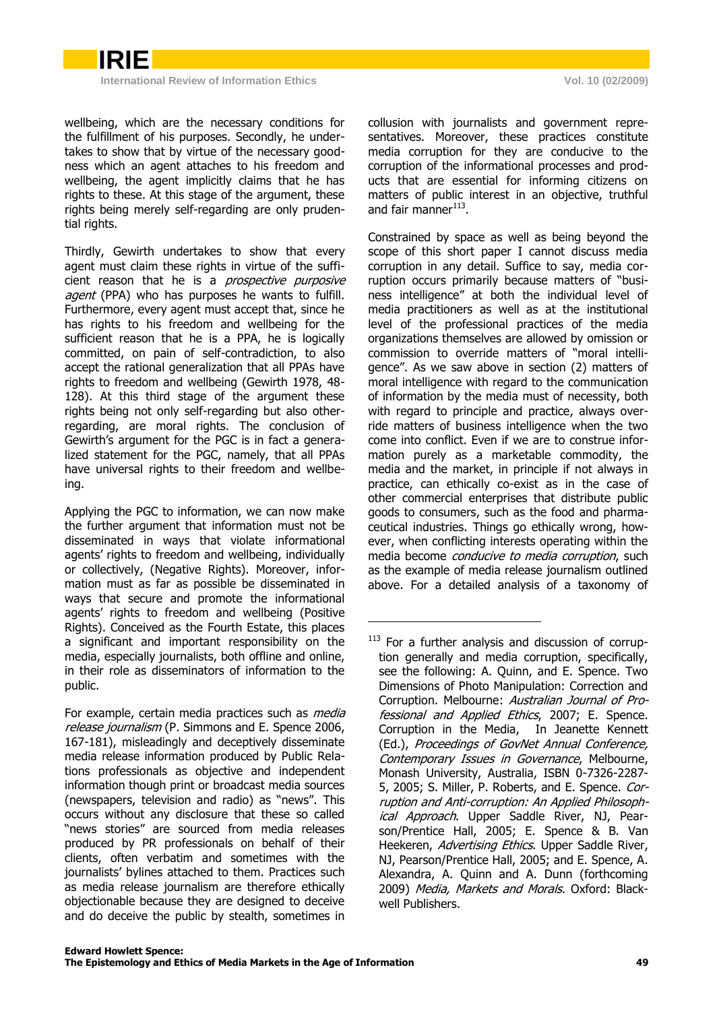wellbeing, which are the necessary conditions for the fulfillment of his purposes. Secondly, he undertakes to show that by virtue of the necessary goodness which an agent attaches to his freedom and wellbeing, the agent implicitly claims that he has rights to these. At this stage of the argument, these rights being merely self-regarding are only prudential rights.

Thirdly, Gewirth undertakes to show that every agent must claim these rights in virtue of the sufficient reason that he is a *prospective purposive* agent (PPA) who has purposes he wants to fulfill. Furthermore, every agent must accept that, since he has rights to his freedom and wellbeing for the sufficient reason that he is a PPA, he is logically committed, on pain of self-contradiction, to also accept the rational generalization that all PPAs have rights to freedom and wellbeing (Gewirth 1978, 48- 128). At this third stage of the argument these rights being not only self-regarding but also otherregarding, are moral rights. The conclusion of Gewirth's argument for the PGC is in fact a generalized statement for the PGC, namely, that all PPAs have universal rights to their freedom and wellbeing.

Applying the PGC to information, we can now make the further argument that information must not be disseminated in ways that violate informational agents' rights to freedom and wellbeing, individually or collectively, (Negative Rights). Moreover, information must as far as possible be disseminated in ways that secure and promote the informational agents' rights to freedom and wellbeing (Positive Rights). Conceived as the Fourth Estate, this places a significant and important responsibility on the media, especially journalists, both offline and online, in their role as disseminators of information to the public.

-

For example, certain media practices such as *media* release journalism (P. Simmons and E. Spence 2006, 167-181), misleadingly and deceptively disseminate media release information produced by Public Relations professionals as objective and independent information though print or broadcast media sources (newspapers, television and radio) as "news". This occurs without any disclosure that these so called "news stories" are sourced from media releases produced by PR professionals on behalf of their clients, often verbatim and sometimes with the journalists" bylines attached to them. Practices such as media release journalism are therefore ethically objectionable because they are designed to deceive and do deceive the public by stealth, sometimes in

collusion with journalists and government representatives. Moreover, these practices constitute media corruption for they are conducive to the corruption of the informational processes and products that are essential for informing citizens on matters of public interest in an objective, truthful and fair manner<sup>113</sup>.

Constrained by space as well as being beyond the scope of this short paper I cannot discuss media corruption in any detail. Suffice to say, media corruption occurs primarily because matters of "business intelligence" at both the individual level of media practitioners as well as at the institutional level of the professional practices of the media organizations themselves are allowed by omission or commission to override matters of "moral intelligence". As we saw above in section (2) matters of moral intelligence with regard to the communication of information by the media must of necessity, both with regard to principle and practice, always override matters of business intelligence when the two come into conflict. Even if we are to construe information purely as a marketable commodity, the media and the market, in principle if not always in practice, can ethically co-exist as in the case of other commercial enterprises that distribute public goods to consumers, such as the food and pharmaceutical industries. Things go ethically wrong, however, when conflicting interests operating within the media become conducive to media corruption, such as the example of media release journalism outlined above. For a detailed analysis of a taxonomy of

<sup>&</sup>lt;sup>113</sup> For a further analysis and discussion of corruption generally and media corruption, specifically, see the following: A. Quinn, and E. Spence. Two Dimensions of Photo Manipulation: Correction and Corruption. Melbourne: Australian Journal of Professional and Applied Ethics, 2007; E. Spence. Corruption in the Media, In Jeanette Kennett (Ed.), Proceedings of GovNet Annual Conference, Contemporary Issues in Governance, Melbourne, Monash University, Australia, ISBN 0-7326-2287- 5, 2005; S. Miller, P. Roberts, and E. Spence. Corruption and Anti-corruption: An Applied Philosophical Approach. Upper Saddle River, NJ, Pearson/Prentice Hall, 2005; E. Spence & B. Van Heekeren, Advertising Ethics. Upper Saddle River, NJ, Pearson/Prentice Hall, 2005; and E. Spence, A. Alexandra, A. Quinn and A. Dunn (forthcoming 2009) Media, Markets and Morals. Oxford: Blackwell Publishers.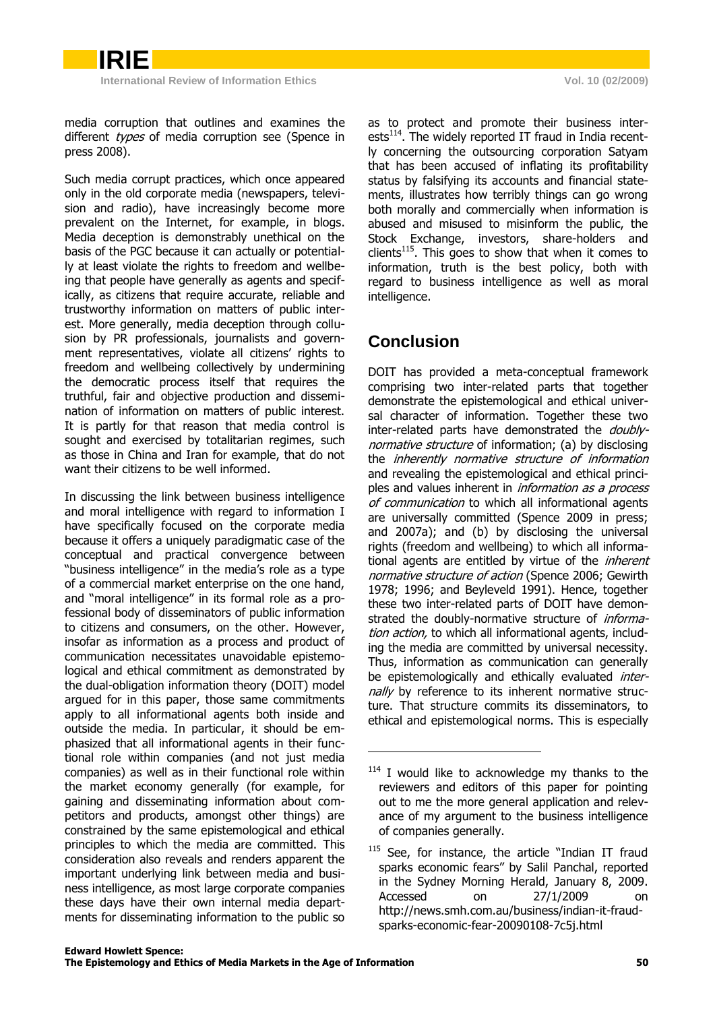media corruption that outlines and examines the different types of media corruption see (Spence in press 2008).

Such media corrupt practices, which once appeared only in the old corporate media (newspapers, television and radio), have increasingly become more prevalent on the Internet, for example, in blogs. Media deception is demonstrably unethical on the basis of the PGC because it can actually or potentially at least violate the rights to freedom and wellbeing that people have generally as agents and specifically, as citizens that require accurate, reliable and trustworthy information on matters of public interest. More generally, media deception through collusion by PR professionals, journalists and government representatives, violate all citizens' rights to freedom and wellbeing collectively by undermining the democratic process itself that requires the truthful, fair and objective production and dissemination of information on matters of public interest. It is partly for that reason that media control is sought and exercised by totalitarian regimes, such as those in China and Iran for example, that do not want their citizens to be well informed.

In discussing the link between business intelligence and moral intelligence with regard to information I have specifically focused on the corporate media because it offers a uniquely paradigmatic case of the conceptual and practical convergence between "business intelligence" in the media"s role as a type of a commercial market enterprise on the one hand, and "moral intelligence" in its formal role as a professional body of disseminators of public information to citizens and consumers, on the other. However, insofar as information as a process and product of communication necessitates unavoidable epistemological and ethical commitment as demonstrated by the dual-obligation information theory (DOIT) model argued for in this paper, those same commitments apply to all informational agents both inside and outside the media. In particular, it should be emphasized that all informational agents in their functional role within companies (and not just media companies) as well as in their functional role within the market economy generally (for example, for gaining and disseminating information about competitors and products, amongst other things) are constrained by the same epistemological and ethical principles to which the media are committed. This consideration also reveals and renders apparent the important underlying link between media and business intelligence, as most large corporate companies these days have their own internal media departments for disseminating information to the public so

as to protect and promote their business interests<sup>114</sup>. The widely reported IT fraud in India recently concerning the outsourcing corporation Satyam that has been accused of inflating its profitability status by falsifying its accounts and financial statements, illustrates how terribly things can go wrong both morally and commercially when information is abused and misused to misinform the public, the Stock Exchange, investors, share-holders and  $clients<sup>115</sup>$ . This goes to show that when it comes to information, truth is the best policy, both with regard to business intelligence as well as moral intelligence.

# **Conclusion**

-

DOIT has provided a meta-conceptual framework comprising two inter-related parts that together demonstrate the epistemological and ethical universal character of information. Together these two inter-related parts have demonstrated the *doubly*normative structure of information; (a) by disclosing the inherently normative structure of information and revealing the epistemological and ethical principles and values inherent in *information as a process* of communication to which all informational agents are universally committed (Spence 2009 in press; and 2007a); and (b) by disclosing the universal rights (freedom and wellbeing) to which all informational agents are entitled by virtue of the inherent normative structure of action (Spence 2006; Gewirth 1978; 1996; and Beyleveld 1991). Hence, together these two inter-related parts of DOIT have demonstrated the doubly-normative structure of *informa*tion action, to which all informational agents, including the media are committed by universal necessity. Thus, information as communication can generally be epistemologically and ethically evaluated *inter*nally by reference to its inherent normative structure. That structure commits its disseminators, to ethical and epistemological norms. This is especially

<sup>&</sup>lt;sup>114</sup> I would like to acknowledge my thanks to the reviewers and editors of this paper for pointing out to me the more general application and relevance of my argument to the business intelligence of companies generally.

<sup>&</sup>lt;sup>115</sup> See, for instance, the article "Indian IT fraud sparks economic fears" by Salil Panchal, reported in the Sydney Morning Herald, January 8, 2009. Accessed on 27/1/2009 [http://news.smh.com.au/business/indian-it-fraud](http://news.smh.com.au/business/ondian-it-fraud-sparks-economic-fear-20090108-7c5j.html)[sparks-economic-fear-20090108-7c5j.html](http://news.smh.com.au/business/ondian-it-fraud-sparks-economic-fear-20090108-7c5j.html)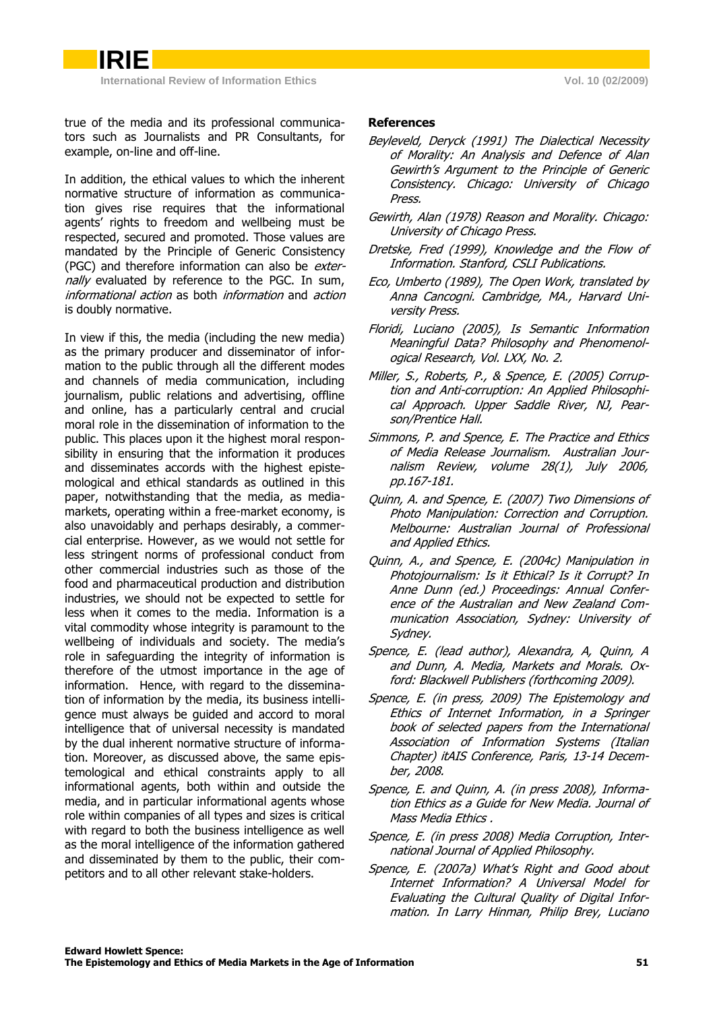true of the media and its professional communicators such as Journalists and PR Consultants, for example, on-line and off-line.

In addition, the ethical values to which the inherent normative structure of information as communication gives rise requires that the informational agents' rights to freedom and wellbeing must be respected, secured and promoted. Those values are mandated by the Principle of Generic Consistency (PGC) and therefore information can also be *exter*nally evaluated by reference to the PGC. In sum, informational action as both information and action is doubly normative.

In view if this, the media (including the new media) as the primary producer and disseminator of information to the public through all the different modes and channels of media communication, including journalism, public relations and advertising, offline and online, has a particularly central and crucial moral role in the dissemination of information to the public. This places upon it the highest moral responsibility in ensuring that the information it produces and disseminates accords with the highest epistemological and ethical standards as outlined in this paper, notwithstanding that the media, as mediamarkets, operating within a free-market economy, is also unavoidably and perhaps desirably, a commercial enterprise. However, as we would not settle for less stringent norms of professional conduct from other commercial industries such as those of the food and pharmaceutical production and distribution industries, we should not be expected to settle for less when it comes to the media. Information is a vital commodity whose integrity is paramount to the wellbeing of individuals and society. The media's role in safeguarding the integrity of information is therefore of the utmost importance in the age of information. Hence, with regard to the dissemination of information by the media, its business intelligence must always be guided and accord to moral intelligence that of universal necessity is mandated by the dual inherent normative structure of information. Moreover, as discussed above, the same epistemological and ethical constraints apply to all informational agents, both within and outside the media, and in particular informational agents whose role within companies of all types and sizes is critical with regard to both the business intelligence as well as the moral intelligence of the information gathered and disseminated by them to the public, their competitors and to all other relevant stake-holders.

#### **References**

- Beyleveld, Deryck (1991) The Dialectical Necessity of Morality: An Analysis and Defence of Alan Gewirth"s Argument to the Principle of Generic Consistency. Chicago: University of Chicago Press.
- Gewirth, Alan (1978) Reason and Morality. Chicago: University of Chicago Press.
- Dretske, Fred (1999), Knowledge and the Flow of Information. Stanford, CSLI Publications.
- Eco, Umberto (1989), The Open Work, translated by Anna Cancogni. Cambridge, MA., Harvard University Press.
- Floridi, Luciano (2005), Is Semantic Information Meaningful Data? Philosophy and Phenomenological Research, Vol. LXX, No. 2.
- Miller, S., Roberts, P., & Spence, E. (2005) Corruption and Anti-corruption: An Applied Philosophical Approach. Upper Saddle River, NJ, Pearson/Prentice Hall.
- Simmons, P. and Spence, E. The Practice and Ethics of Media Release Journalism. Australian Journalism Review, volume 28(1), July 2006, pp.167-181.
- Quinn, A. and Spence, E. (2007) Two Dimensions of Photo Manipulation: Correction and Corruption. Melbourne: Australian Journal of Professional and Applied Ethics.
- Quinn, A., and Spence, E. (2004c) Manipulation in Photojournalism: Is it Ethical? Is it Corrupt? In Anne Dunn (ed.) Proceedings: Annual Conference of the Australian and New Zealand Communication Association, Sydney: University of Sydney.
- Spence, E. (lead author), Alexandra, A, Quinn, A and Dunn, A. Media, Markets and Morals. Oxford: Blackwell Publishers (forthcoming 2009).
- Spence, E. (in press, 2009) The Epistemology and Ethics of Internet Information, in a Springer book of selected papers from the International Association of Information Systems (Italian Chapter) itAIS Conference, Paris, 13-14 December, 2008.
- Spence, E. and Quinn, A. (in press 2008), Information Ethics as a Guide for New Media. Journal of Mass Media Ethics .
- Spence, E. (in press 2008) Media Corruption, International Journal of Applied Philosophy.
- Spence, E. (2007a) What's Right and Good about Internet Information? A Universal Model for Evaluating the Cultural Quality of Digital Information. In Larry Hinman, Philip Brey, Luciano